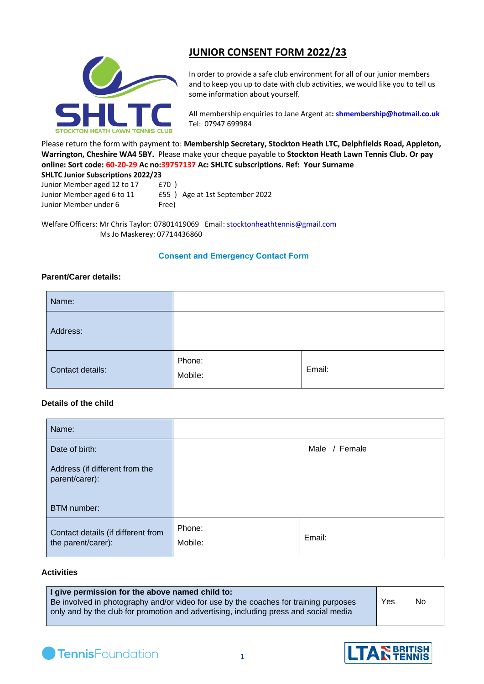

Junior Member under 6 Free)

# **JUNIOR CONSENT FORM 2022/23**

In order to provide a safe club environment for all of our junior members and to keep you up to date with club activities, we would like you to tell us some information about yourself.

All membership enquiries to Jane Argent at**: [shmembership@hotmail.co.uk](mailto:shmembership@hotmail.co.uk)**  Tel:07947 699984

Please return the form with payment to: **Membership Secretary, Stockton Heath LTC, Delphfields Road, Appleton, Warrington, Cheshire WA4 5BY.** Please make your cheque payable to **Stockton Heath Lawn Tennis Club. Or pay online: Sort code: 60-20-29 Ac no:39757137 Ac: SHLTC subscriptions. Ref: Your Surname SHLTC Junior Subscriptions 2022/23**

| SHLIC JUNIOR SUBSCRIPTIONS 2022/23 |                                |  |
|------------------------------------|--------------------------------|--|
| Junior Member aged 12 to 17        | £70)                           |  |
| Junior Member aged 6 to 11         | £55) Age at 1st September 2022 |  |

Welfare Officers: Mr Chris Taylor: [07801419069](tel:07801419060) Email: [stocktonheathtennis@gmail.com](mailto:stocktonheathtennis@gmail.com) Ms Jo Maskerey: 07714436860

## **Consent and Emergency Contact Form**

## **Parent/Carer details:**

| Name:            |                   |        |
|------------------|-------------------|--------|
| Address:         |                   |        |
| Contact details: | Phone:<br>Mobile: | Email: |

## **Details of the child**

| Name:                                                           |                   |        |
|-----------------------------------------------------------------|-------------------|--------|
| Date of birth:                                                  | Male / Female     |        |
| Address (if different from the<br>parent/carer):<br>BTM number: |                   |        |
|                                                                 |                   |        |
| Contact details (if different from<br>the parent/carer):        | Phone:<br>Mobile: | Email: |

#### **Activities**

| I give permission for the above named child to:                                      |     |     |
|--------------------------------------------------------------------------------------|-----|-----|
| Be involved in photography and/or video for use by the coaches for training purposes | Yes | No. |
| only and by the club for promotion and advertising, including press and social media |     |     |